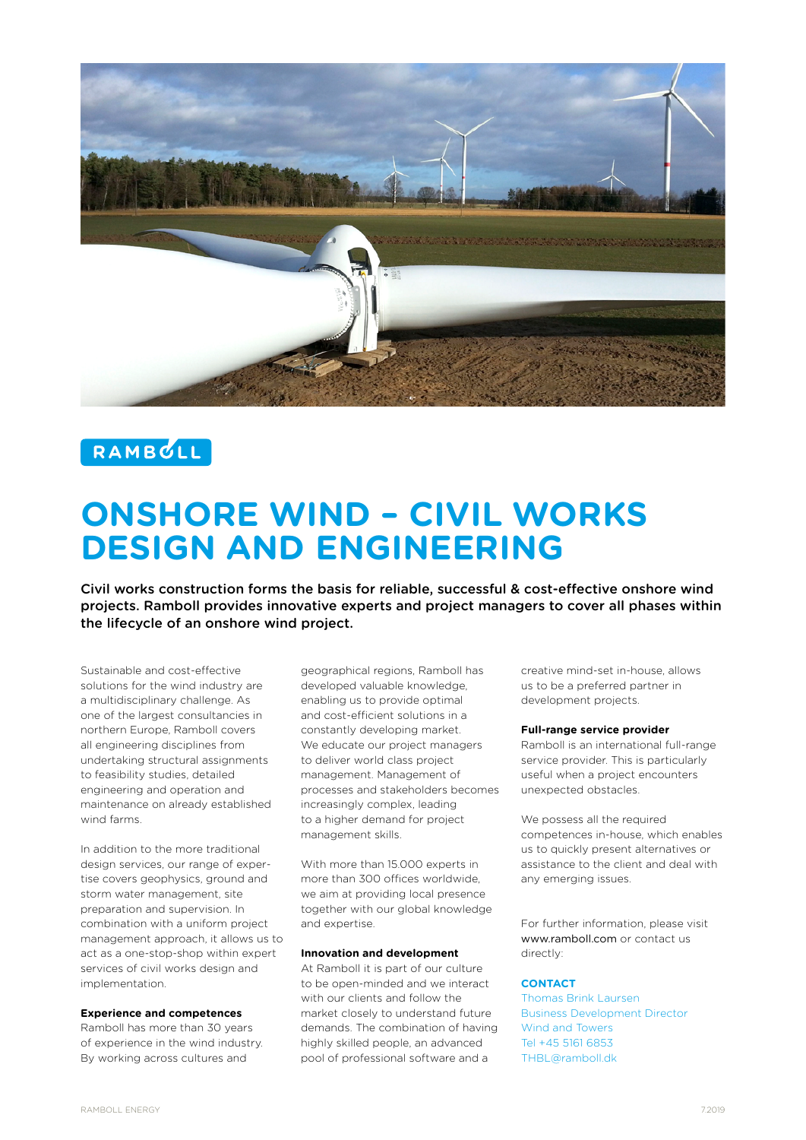

# RAMBULL

# **ONSHORE WIND – CIVIL WORKS DESIGN AND ENGINEERING**

Civil works construction forms the basis for reliable, successful & cost-effective onshore wind projects. Ramboll provides innovative experts and project managers to cover all phases within the lifecycle of an onshore wind project.

Sustainable and cost-effective solutions for the wind industry are a multidisciplinary challenge. As one of the largest consultancies in northern Europe, Ramboll covers all engineering disciplines from undertaking structural assignments to feasibility studies, detailed engineering and operation and maintenance on already established wind farms.

In addition to the more traditional design services, our range of expertise covers geophysics, ground and storm water management, site preparation and supervision. In combination with a uniform project management approach, it allows us to act as a one-stop-shop within expert services of civil works design and implementation.

#### **Experience and competences**

Ramboll has more than 30 years of experience in the wind industry. By working across cultures and

geographical regions, Ramboll has developed valuable knowledge, enabling us to provide optimal and cost-efficient solutions in a constantly developing market. We educate our project managers to deliver world class project management. Management of processes and stakeholders becomes increasingly complex, leading to a higher demand for project management skills.

With more than 15.000 experts in more than 300 offices worldwide, we aim at providing local presence together with our global knowledge and expertise.

# **Innovation and development**

At Ramboll it is part of our culture to be open-minded and we interact with our clients and follow the market closely to understand future demands. The combination of having highly skilled people, an advanced pool of professional software and a

creative mind-set in-house, allows us to be a preferred partner in development projects.

#### **Full-range service provider**

Ramboll is an international full-range service provider. This is particularly useful when a project encounters unexpected obstacles.

We possess all the required competences in-house, which enables us to quickly present alternatives or assistance to the client and deal with any emerging issues.

For further information, please visit www.ramboll.com or contact us directly:

# **CONTACT**

Thomas Brink Laursen Business Development Director Wind and Towers Tel +45 5161 6853 THBL@ramboll.dk